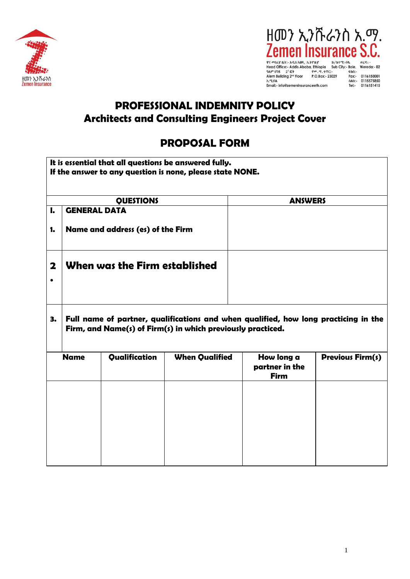



**Promagnet - All and School Control Control Control Control Control Control Control Control Control Control Control Control Control Control Control Control Control Control Control Control Control Control Control Control C** h.mail:- info@zemeninsuranceeth.com nax: 01161556661<br>
nam: 0115575850<br>
Tel: 0116151415

## PROFESSIONAL INDEMNITY POLICY Architects and Consulting Engineers Project Cover

## PROPOSAL FORM

|    | It is essential that all questions be answered fully.<br>If the answer to any question is none, please state NONE.                                 |                                   |                       |                                             |                         |  |  |  |  |
|----|----------------------------------------------------------------------------------------------------------------------------------------------------|-----------------------------------|-----------------------|---------------------------------------------|-------------------------|--|--|--|--|
|    |                                                                                                                                                    | <b>QUESTIONS</b>                  |                       | <b>ANSWERS</b>                              |                         |  |  |  |  |
| I. | <b>GENERAL DATA</b>                                                                                                                                |                                   |                       |                                             |                         |  |  |  |  |
| 1. |                                                                                                                                                    | Name and address (es) of the Firm |                       |                                             |                         |  |  |  |  |
| 2  |                                                                                                                                                    | When was the Firm established     |                       |                                             |                         |  |  |  |  |
| з. | Full name of partner, qualifications and when qualified, how long practicing in the<br>Firm, and Name(s) of Firm(s) in which previously practiced. |                                   |                       |                                             |                         |  |  |  |  |
|    | <b>Name</b>                                                                                                                                        | Qualification                     | <b>When Qualified</b> | How long a<br>partner in the<br><b>Firm</b> | <b>Previous Firm(s)</b> |  |  |  |  |
|    |                                                                                                                                                    |                                   |                       |                                             |                         |  |  |  |  |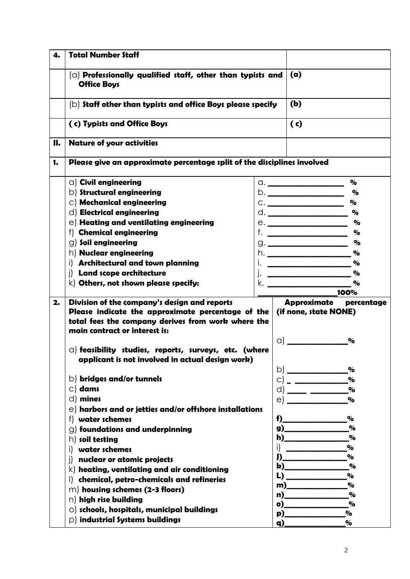| 4. | <b>Total Number Staff</b>                                                             |    |                                         |               |  |  |
|----|---------------------------------------------------------------------------------------|----|-----------------------------------------|---------------|--|--|
|    | $\alpha$ Professionally qualified staff, other than typists and<br><b>Office Boys</b> |    |                                         | (a)           |  |  |
|    | $(b)$ Staff other than typists and office Boys please specify                         |    | (b)                                     | (c)           |  |  |
|    | (c) Typists and Office Boys                                                           |    |                                         |               |  |  |
| П. | <b>Nature of your activities</b>                                                      |    |                                         |               |  |  |
| 1. | Please give an approximate percentage split of the disciplines involved               |    |                                         |               |  |  |
|    | $\circ$ ) Civil engineering                                                           |    | $\alpha$ .                              | $\%$          |  |  |
|    | $\circ$ ) Structural engineering                                                      |    |                                         | $\%$          |  |  |
|    | $\circ$ ) Mechanical engineering                                                      |    |                                         | $\%$          |  |  |
|    | $\left  d \right $ Electrical engineering                                             |    |                                         | $\%$          |  |  |
|    | $\ket{\theta}$ Heating and ventilating engineering                                    |    |                                         | $\%$          |  |  |
|    | f) Chemical engineering                                                               |    | $f.$ $\qquad$                           | $\%$          |  |  |
|    | $\circ$ ) Soil engineering                                                            |    | $\Box$                                  | $\%$          |  |  |
|    | $\mathsf{h}\mathsf{I}\mathsf{I}\mathsf{N}$ Nuclear engineering                        |    |                                         | $\%$          |  |  |
|    | i) Architectural and town planning                                                    | Ι. |                                         | $\%$          |  |  |
|    | i) Land scope architecture                                                            |    |                                         | $\%$          |  |  |
|    | $\mathsf{k}\mathsf{)}$ Others, not shown please specify:                              | k. |                                         | $\%$          |  |  |
|    |                                                                                       |    |                                         | 100%          |  |  |
| 2. | Division of the company's design and reports                                          |    | Approximate                             | percentage    |  |  |
|    | Please indicate the approximate percentage of the                                     |    | (if none, state NONE)                   |               |  |  |
|    | total fees the company derives from work where the                                    |    |                                         |               |  |  |
|    | main contract or interest is:                                                         |    |                                         |               |  |  |
|    |                                                                                       |    | a) a                                    | $\%$          |  |  |
|    | $\alpha$ ) feasibility studies, reports, surveys, etc. (where                         |    |                                         |               |  |  |
|    | applicant is not involved in actual design work)                                      |    |                                         |               |  |  |
|    |                                                                                       |    | b)                                      | $\%$          |  |  |
|    | $\circ$ ) bridges and/or tunnels                                                      |    | C)                                      | $\frac{1}{2}$ |  |  |
|    | $\circ$ dams                                                                          |    | d)                                      | $\frac{1}{2}$ |  |  |
|    | $d)$ mines                                                                            |    | <u> a serie de la provincia de la p</u> | $\%$          |  |  |
|    |                                                                                       |    | e)                                      |               |  |  |
|    | $\in$ harbors and or jetties and/or offshore installations                            |    |                                         |               |  |  |
|    | water schemes<br>f).                                                                  |    | f)                                      | $\%$<br>$\%$  |  |  |
|    | $\circ$ ) foundations and underpinning                                                |    | g)_<br>h)                               | $\%$          |  |  |
|    | $h)$ soil testing                                                                     |    |                                         |               |  |  |
|    | water schemes<br>i)                                                                   |    | i)                                      | $\%$          |  |  |
|    | nuclear or atomic projects<br>i)                                                      |    | J)                                      | $\%$<br>$\%$  |  |  |
|    | $\mathsf{k})$ heating, ventilating and air conditioning                               |    | k)<br>L)                                | $\%$          |  |  |
|    | chemical, petro-chemicals and refineries<br>$\Box$                                    |    | m)                                      | $\%$          |  |  |
|    | $m$ ) housing schemes (2-3 floors)                                                    |    | n)                                      | $\%$          |  |  |
|    | n) high rise building                                                                 |    | o)                                      | $\%$          |  |  |
|    | $\circ$ ) schools, hospitals, municipal buildings                                     |    | <b>p</b> )                              | $\%$          |  |  |
|    | $\vert$ industrial Systems buildings                                                  |    | q)                                      | $\%$          |  |  |
|    |                                                                                       |    |                                         |               |  |  |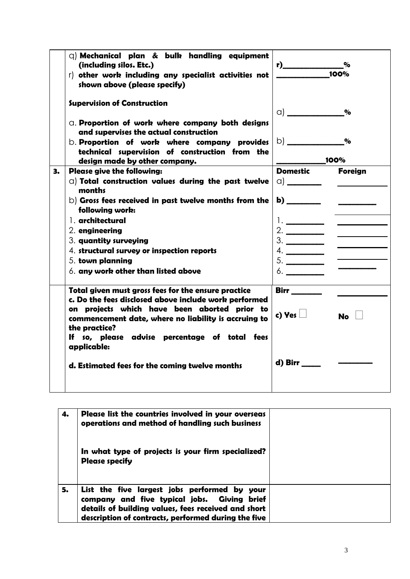|    | $Q$ ) Mechanical plan & bulk handling equipment<br>(including silos. Etc.)<br>r) other work including any specialist activities not<br>shown above (please specify)            | $\overline{\qquad}$ 100% | $\%$                      |
|----|--------------------------------------------------------------------------------------------------------------------------------------------------------------------------------|--------------------------|---------------------------|
|    | <b>Supervision of Construction</b>                                                                                                                                             | $\alpha$ )               | $\mathbf{O}_{\mathbf{O}}$ |
|    | C. Proportion of work where company both designs<br>and supervises the actual construction                                                                                     |                          |                           |
|    | b. Proportion of work where company provides<br>technical supervision of construction from the                                                                                 | b) _________             | $\%$<br>100%              |
|    | design made by other company.                                                                                                                                                  | <b>Domestic</b>          |                           |
| З. | <b>Please give the following:</b>                                                                                                                                              |                          | <b>Foreign</b>            |
|    | a) Total construction values during the past twelve<br>months                                                                                                                  |                          |                           |
|    | $\mathbf b$ ) Gross fees received in past twelve months from the<br>following work:                                                                                            | $\mathbf{b}$ )           |                           |
|    | ], architectural                                                                                                                                                               |                          |                           |
|    | 2. engineering                                                                                                                                                                 |                          |                           |
|    | 3. quantity surveying                                                                                                                                                          |                          |                           |
|    | 4. structural survey or inspection reports                                                                                                                                     | 4.                       |                           |
|    | 5. town planning                                                                                                                                                               | 5.                       |                           |
|    | 6. any work other than listed above                                                                                                                                            | 6.                       |                           |
|    | Total given must gross fees for the ensure practice                                                                                                                            |                          |                           |
|    | c. Do the fees disclosed above include work performed<br>on projects which have been aborted prior to<br>commencement date, where no liability is accruing to<br>the practice? | c) Yes $\Box$            | $No$ $  $                 |
|    | If so, please advise percentage of total fees<br>applicable:                                                                                                                   |                          |                           |
|    | d. Estimated fees for the coming twelve months                                                                                                                                 | d) Birr                  |                           |
|    |                                                                                                                                                                                |                          |                           |

| 4. | Please list the countries involved in your overseas<br>operations and method of handling such business                                                                                                    |  |
|----|-----------------------------------------------------------------------------------------------------------------------------------------------------------------------------------------------------------|--|
|    | In what type of projects is your firm specialized?<br><b>Please specify</b>                                                                                                                               |  |
| 5. | List the five largest jobs performed by your<br>company and five typical jobs. Giving brief<br>details of building values, fees received and short<br>description of contracts, performed during the five |  |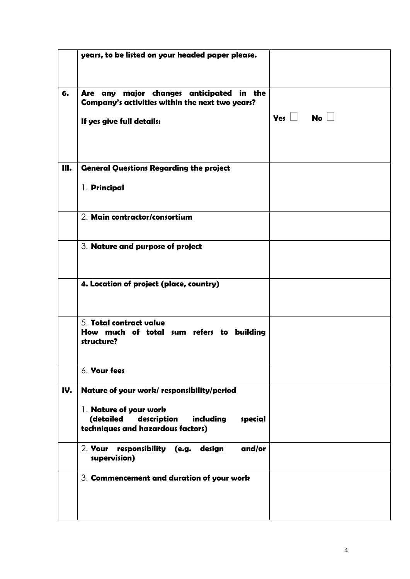|     | years, to be listed on your headed paper please.                                                                                                             |                      |
|-----|--------------------------------------------------------------------------------------------------------------------------------------------------------------|----------------------|
| 6.  | Are any major changes anticipated in the<br>Company's activities within the next two years?<br>If yes give full details:                                     | Yes $\Box$ No $\Box$ |
| Ш.  | <b>General Questions Regarding the project</b><br>1. Principal                                                                                               |                      |
|     | 2. Main contractor/consortium                                                                                                                                |                      |
|     | 3. Nature and purpose of project                                                                                                                             |                      |
|     | 4. Location of project (place, country)                                                                                                                      |                      |
|     | 5. Total contract value<br>How much of total sum refers to building<br>structure?                                                                            |                      |
|     | 6. Your fees                                                                                                                                                 |                      |
| IV. | Nature of your work/responsibility/period<br>1. Nature of your work<br>(detailed<br>description<br>including<br>special<br>techniques and hazardous factors) |                      |
|     | responsibility (e.g. design<br>and/or<br>2. <b>Your</b><br>supervision)                                                                                      |                      |
|     | 3. Commencement and duration of your work                                                                                                                    |                      |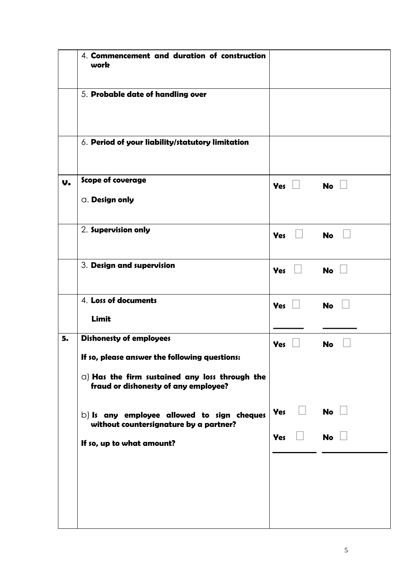|    | 4. Commencement and duration of construction<br>work                                                                                                                              |                            |           |
|----|-----------------------------------------------------------------------------------------------------------------------------------------------------------------------------------|----------------------------|-----------|
|    | 5. Probable date of handling over                                                                                                                                                 |                            |           |
|    | 6. Period of your liability/statutory limitation                                                                                                                                  |                            |           |
| V. | Scope of coverage<br><b>a.</b> Design only                                                                                                                                        | Yes $\Box$                 | No $\Box$ |
|    | 2. Supervision only                                                                                                                                                               | $\Box$<br><b>Yes</b>       | <b>No</b> |
|    | 3. Design and supervision                                                                                                                                                         | <b>Yes</b><br>$\mathbf{L}$ | No $\Box$ |
|    | 4. Loss of documents<br>Limit                                                                                                                                                     | <b>Yes</b>                 | <b>No</b> |
| 5. | <b>Dishonesty of employees</b><br>If so, please answer the following questions:<br>$\alpha$ ) Has the firm sustained any loss through the<br>fraud or dishonesty of any employee? | <b>Yes</b>                 | <b>No</b> |
|    | $\mathbf b$ ) Is any employee allowed to sign cheques<br>without countersignature by a partner?<br>If so, up to what amount?                                                      | Yes<br><b>Yes</b>          | No<br>No  |
|    |                                                                                                                                                                                   |                            |           |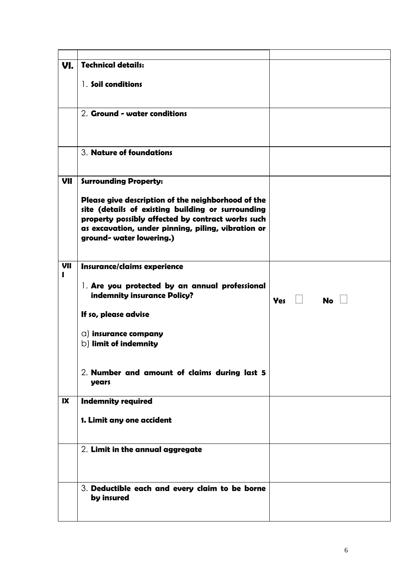| VI.      | <b>Technical details:</b>                                                                                                                                                                                                                      |                         |
|----------|------------------------------------------------------------------------------------------------------------------------------------------------------------------------------------------------------------------------------------------------|-------------------------|
|          | 1. Soil conditions                                                                                                                                                                                                                             |                         |
|          | 2. Ground - water conditions                                                                                                                                                                                                                   |                         |
|          | 3. Nature of foundations                                                                                                                                                                                                                       |                         |
| VII      | <b>Surrounding Property:</b>                                                                                                                                                                                                                   |                         |
|          | Please give description of the neighborhood of the<br>site (details of existing building or surrounding<br>property possibly affected by contract works such<br>as excavation, under pinning, piling, vibration or<br>ground- water lowering.) |                         |
| VII<br>ı | Insurance/claims experience                                                                                                                                                                                                                    |                         |
|          | 1. Are you protected by an annual professional<br>indemnity insurance Policy?                                                                                                                                                                  | <b>Yes</b><br><b>No</b> |
|          | If so, please advise                                                                                                                                                                                                                           |                         |
|          | a) insurance company<br>$\circ$ ) limit of indemnity                                                                                                                                                                                           |                         |
|          | 2. Number and amount of claims during last 5<br>years                                                                                                                                                                                          |                         |
| IX       | <b>Indemnity required</b>                                                                                                                                                                                                                      |                         |
|          | 1. Limit any one accident                                                                                                                                                                                                                      |                         |
|          | 2. Limit in the annual aggregate                                                                                                                                                                                                               |                         |
|          | 3. Deductible each and every claim to be borne<br>by insured                                                                                                                                                                                   |                         |